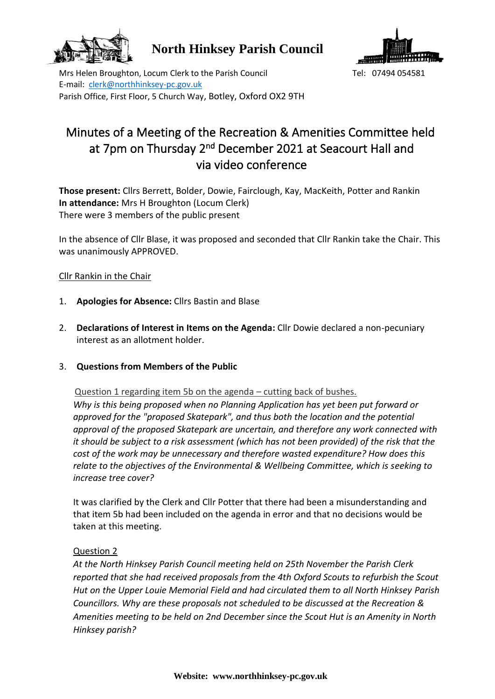

**North Hinksey Parish Council**



Mrs Helen Broughton, Locum Clerk to the Parish Council Tel: 07494 054581 E-mail: [clerk@northhinksey-pc.gov.uk](mailto:clerk@northhinksey-pc.gov.uk) Parish Office, First Floor, 5 Church Way, Botley, Oxford OX2 9TH

# Minutes of a Meeting of the Recreation & Amenities Committee held at 7pm on Thursday 2<sup>nd</sup> December 2021 at Seacourt Hall and via video conference

**Those present:** Cllrs Berrett, Bolder, Dowie, Fairclough, Kay, MacKeith, Potter and Rankin **In attendance:** Mrs H Broughton (Locum Clerk) There were 3 members of the public present

In the absence of Cllr Blase, it was proposed and seconded that Cllr Rankin take the Chair. This was unanimously APPROVED.

# Cllr Rankin in the Chair

- 1. **Apologies for Absence:** Cllrs Bastin and Blase
- 2. **Declarations of Interest in Items on the Agenda:** Cllr Dowie declared a non-pecuniary interest as an allotment holder.
- 3. **Questions from Members of the Public**

Question 1 regarding item 5b on the agenda – cutting back of bushes.

*Why is this being proposed when no Planning Application has yet been put forward or approved for the "proposed Skatepark", and thus both the location and the potential approval of the proposed Skatepark are uncertain, and therefore any work connected with it should be subject to a risk assessment (which has not been provided) of the risk that the cost of the work may be unnecessary and therefore wasted expenditure? How does this relate to the objectives of the Environmental & Wellbeing Committee, which is seeking to increase tree cover?* 

It was clarified by the Clerk and Cllr Potter that there had been a misunderstanding and that item 5b had been included on the agenda in error and that no decisions would be taken at this meeting.

### Question 2

*At the North Hinksey Parish Council meeting held on 25th November the Parish Clerk reported that she had received proposals from the 4th Oxford Scouts to refurbish the Scout Hut on the Upper Louie Memorial Field and had circulated them to all North Hinksey Parish Councillors. Why are these proposals not scheduled to be discussed at the Recreation & Amenities meeting to be held on 2nd December since the Scout Hut is an Amenity in North Hinksey parish?*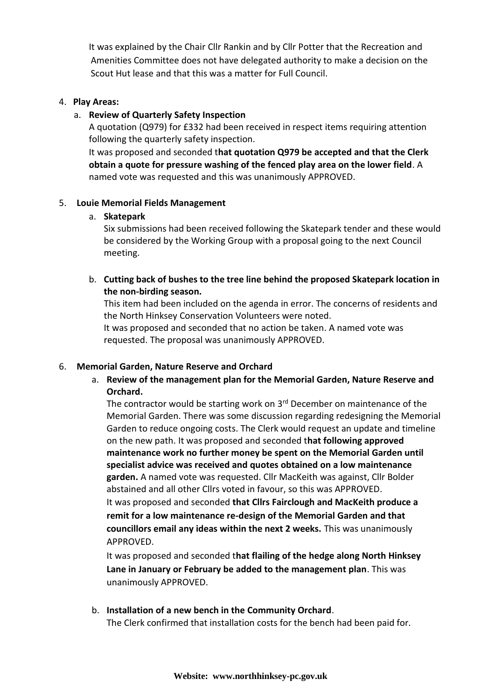It was explained by the Chair Cllr Rankin and by Cllr Potter that the Recreation and Amenities Committee does not have delegated authority to make a decision on the Scout Hut lease and that this was a matter for Full Council.

# 4. **Play Areas:**

## a. **Review of Quarterly Safety Inspection**

A quotation (Q979) for £332 had been received in respect items requiring attention following the quarterly safety inspection.

It was proposed and seconded t**hat quotation Q979 be accepted and that the Clerk obtain a quote for pressure washing of the fenced play area on the lower field**. A named vote was requested and this was unanimously APPROVED.

# 5. **Louie Memorial Fields Management**

### a. **Skatepark**

Six submissions had been received following the Skatepark tender and these would be considered by the Working Group with a proposal going to the next Council meeting.

b. **Cutting back of bushes to the tree line behind the proposed Skatepark location in the non-birding season.**

This item had been included on the agenda in error. The concerns of residents and the North Hinksey Conservation Volunteers were noted.

It was proposed and seconded that no action be taken. A named vote was requested. The proposal was unanimously APPROVED.

### 6. **Memorial Garden, Nature Reserve and Orchard**

a. **Review of the management plan for the Memorial Garden, Nature Reserve and Orchard.** 

The contractor would be starting work on 3<sup>rd</sup> December on maintenance of the Memorial Garden. There was some discussion regarding redesigning the Memorial Garden to reduce ongoing costs. The Clerk would request an update and timeline on the new path. It was proposed and seconded t**hat following approved maintenance work no further money be spent on the Memorial Garden until specialist advice was received and quotes obtained on a low maintenance garden.** A named vote was requested. Cllr MacKeith was against, Cllr Bolder abstained and all other Cllrs voted in favour, so this was APPROVED. It was proposed and seconded **that Cllrs Fairclough and MacKeith produce a remit for a low maintenance re-design of the Memorial Garden and that councillors email any ideas within the next 2 weeks.** This was unanimously APPROVED.

It was proposed and seconded t**hat flailing of the hedge along North Hinksey Lane in January or February be added to the management plan**. This was unanimously APPROVED.

b. **Installation of a new bench in the Community Orchard**. The Clerk confirmed that installation costs for the bench had been paid for.